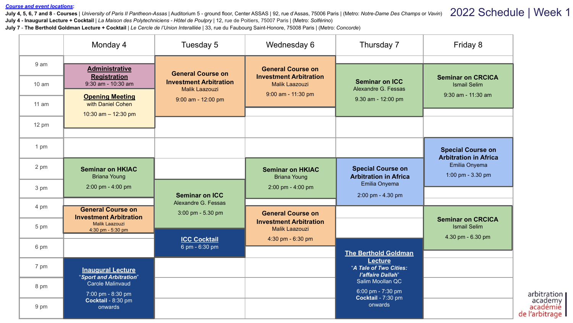## *Course and event locations***:**

**July 4, 5, 6, 7 and 8** - **Courses** | *University of Paris II Pantheon-Assas* | Auditorium 5 - ground floor, Center ASSAS | 92, rue d'Assas, 75006 Paris | (Metro: *Notre-Dame Des Champs* or *Vavin*) **July 4 - Inaugural Lecture + Cocktail** | *La Maison des Polytechniciens - Hôtel de Poulpry* | 12, rue de Poitiers, 75007 Paris | (Metro: *Solférino*) 2022 Schedule | Week 1

**July 7** - **The Berthold Goldman Lecture + Cocktail** | *Le Cercle de l'Union Interalliée* | 33, rue du Faubourg Saint-Honore, 75008 Paris | (Metro: *Concorde*)

|                  | Monday 4                                                  | Tuesday 5                                              | Wednesday 6                                            | Thursday 7                                               | Friday 8                                                             |                                       |
|------------------|-----------------------------------------------------------|--------------------------------------------------------|--------------------------------------------------------|----------------------------------------------------------|----------------------------------------------------------------------|---------------------------------------|
| 9 <sub>am</sub>  | <b>Administrative</b>                                     | <b>General Course on</b>                               | <b>General Course on</b>                               |                                                          |                                                                      |                                       |
| 10 <sub>am</sub> | <b>Registration</b><br>$9:30$ am - $10:30$ am             | <b>Investment Arbitration</b><br><b>Malik Laazouzi</b> | <b>Investment Arbitration</b><br><b>Malik Laazouzi</b> | <b>Seminar on ICC</b><br>Alexandre G. Fessas             | <b>Seminar on CRCICA</b><br><b>Ismail Selim</b>                      |                                       |
| 11 am            | <b>Opening Meeting</b><br>with Daniel Cohen               | 9:00 am - 12:00 pm                                     | 9:00 am - 11:30 pm                                     | 9.30 am - 12:00 pm                                       | 9:30 am - 11:30 am                                                   |                                       |
| 12 pm            | 10:30 am $-$ 12:30 pm                                     |                                                        |                                                        |                                                          |                                                                      |                                       |
| 1 pm             |                                                           |                                                        |                                                        |                                                          | <b>Special Course on</b>                                             |                                       |
| 2 pm             | <b>Seminar on HKIAC</b><br><b>Briana Young</b>            |                                                        | <b>Seminar on HKIAC</b><br><b>Briana Young</b>         | <b>Special Course on</b><br><b>Arbitration in Africa</b> | <b>Arbitration in Africa</b><br>Emilia Onyema<br>1:00 pm - 3.30 pm   |                                       |
| 3 pm             | 2:00 pm - 4:00 pm                                         | <b>Seminar on ICC</b>                                  | $2:00 \text{ pm} - 4:00 \text{ pm}$                    | Emilia Onyema<br>2:00 pm - 4.30 pm                       |                                                                      |                                       |
| 4 pm             | <b>General Course on</b><br><b>Investment Arbitration</b> | Alexandre G. Fessas<br>3:00 pm - 5.30 pm               | <b>General Course on</b>                               |                                                          |                                                                      |                                       |
| 5 pm             | Malik Laazouzi<br>4:30 pm - 5:30 pm                       |                                                        | <b>Investment Arbitration</b><br><b>Malik Laazouzi</b> |                                                          | <b>Seminar on CRCICA</b><br><b>Ismail Selim</b><br>4.30 pm - 6.30 pm |                                       |
| 6 pm             |                                                           | <b>ICC Cocktail</b><br>6 pm - 6:30 pm                  | 4:30 pm - 6:30 pm                                      | <b>The Berthold Goldman</b>                              |                                                                      |                                       |
| 7 pm             | <b>Inaugural Lecture</b><br>"Sport and Arbitration"       |                                                        |                                                        | Lecture<br>"A Tale of Two Cities:<br>l'affaire Dallah"   |                                                                      |                                       |
| 8 pm             | <b>Carole Malinvaud</b><br>7:00 pm - 8:30 pm              |                                                        |                                                        | Salim Moollan QC<br>6:00 pm - 7:30 pm                    |                                                                      | arbitration                           |
| 9 pm             | Cocktail - 8:30 pm<br>onwards                             |                                                        |                                                        | Cocktail - 7:30 pm<br>onwards                            |                                                                      | academy<br>académie<br>de l'arbitrage |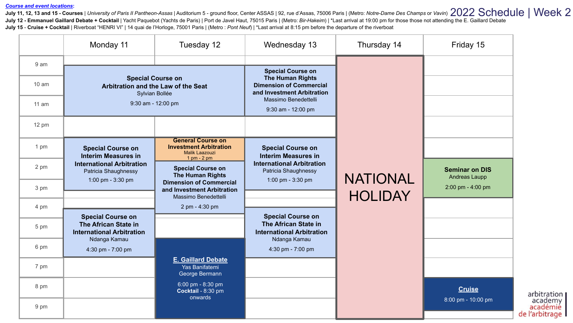## *Course and event locations***:**

July 11, 12, 13 and 15 - Courses | University of Paris II Pantheon-Assas | Auditorium 5 - ground floor, Center ASSAS | 92, rue d'Assas, 75006 Paris | (Metro: Notre-Dame Des Champs or Vavin) 2022 Schedule | Week 2 July 12 - Emmanuel Gaillard Debate + Cocktail | Yacht Paquebot (Yachts de Paris) | Port de Javel Haut, 75015 Paris | (Metro: Bir-Hakeim) | \*Last arrival at 19:00 pm for those those not attending the E. Gaillard Debate **July 15** - **Cruise + Cocktail** | Riverboat "HENRI VI" | 14 quai de l'Horloge, 75001 Paris | (Metro : *Pont Neuf*) | \*Last arrival at 8:15 pm before the departure of the riverboat

|                  | Monday 11                                                                         | Tuesday 12                                                                                                          | Wednesday 13                                                                            | Thursday 14     | Friday 15                              |
|------------------|-----------------------------------------------------------------------------------|---------------------------------------------------------------------------------------------------------------------|-----------------------------------------------------------------------------------------|-----------------|----------------------------------------|
| 9 <sub>am</sub>  |                                                                                   |                                                                                                                     | <b>Special Course on</b>                                                                |                 |                                        |
| 10 <sub>am</sub> | <b>Special Course on</b><br>Arbitration and the Law of the Seat<br>Sylvian Bollée |                                                                                                                     | <b>The Human Rights</b><br><b>Dimension of Commercial</b><br>and Investment Arbitration |                 |                                        |
| $11$ am          | 9:30 am - 12:00 pm                                                                |                                                                                                                     | Massimo Benedettelli<br>9:30 am - 12:00 pm                                              |                 |                                        |
| 12 pm            |                                                                                   |                                                                                                                     |                                                                                         |                 |                                        |
| 1 pm             | <b>Special Course on</b><br><b>Interim Measures in</b>                            | <b>General Course on</b><br><b>Investment Arbitration</b><br><b>Malik Laazouzi</b><br>$1 \text{ pm} - 2 \text{ pm}$ | <b>Special Course on</b><br><b>Interim Measures in</b>                                  |                 |                                        |
| 2 pm             | <b>International Arbitration</b><br>Patricia Shaughnessy<br>1:00 pm - 3:30 pm     | <b>Special Course on</b><br><b>The Human Rights</b><br><b>Dimension of Commercial</b>                               | <b>International Arbitration</b><br>Patricia Shaughnessy<br>1:00 pm - 3:30 pm           | <b>NATIONAL</b> | <b>Seminar on DIS</b><br>Andreas Laupp |
| 3 pm             |                                                                                   | and Investment Arbitration<br>Massimo Benedettelli                                                                  |                                                                                         | <b>HOLIDAY</b>  | 2:00 pm - 4:00 pm                      |
| 4 pm             | <b>Special Course on</b>                                                          | 2 pm - 4:30 pm                                                                                                      | <b>Special Course on</b>                                                                |                 |                                        |
| 5 pm             | The African State in<br><b>International Arbitration</b><br>Ndanga Kamau          |                                                                                                                     | The African State in<br><b>International Arbitration</b><br>Ndanga Kamau                |                 |                                        |
| 6 pm             | 4:30 pm - 7:00 pm                                                                 |                                                                                                                     | 4:30 pm - 7:00 pm                                                                       |                 |                                        |
| 7 pm             |                                                                                   | <b>E. Gaillard Debate</b><br>Yas Banifatemi<br>George Bermann                                                       |                                                                                         |                 |                                        |
| 8 pm             |                                                                                   | 6:00 pm - 8:30 pm<br>Cocktail - 8:30 pm<br>onwards                                                                  |                                                                                         |                 | <b>Cruise</b><br>8:00 pm - 10:00 pm    |
| 9 pm             |                                                                                   |                                                                                                                     |                                                                                         |                 |                                        |

arbitration<br>| academy<br>| académie de l'arbitrage